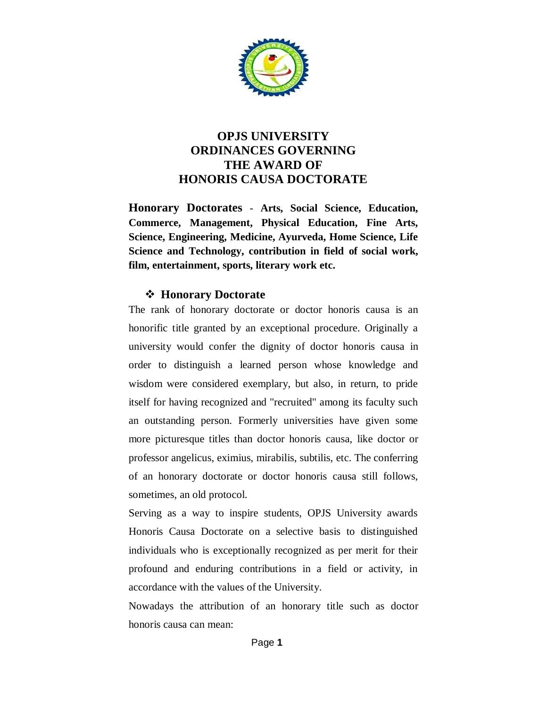

### **OPJS UNIVERSITY ORDINANCES GOVERNING THE AWARD OF HONORIS CAUSA DOCTORATE**

**Honorary Doctorates** - **Arts, Social Science, Education, Commerce, Management, Physical Education, Fine Arts, Science, Engineering, Medicine, Ayurveda, Home Science, Life Science and Technology, contribution in field of social work, film, entertainment, sports, literary work etc.**

#### **Honorary Doctorate**

The rank of honorary doctorate or doctor honoris causa is an honorific title granted by an exceptional procedure. Originally a university would confer the dignity of doctor honoris causa in order to distinguish a learned person whose knowledge and wisdom were considered exemplary, but also, in return, to pride itself for having recognized and "recruited" among its faculty such an outstanding person. Formerly universities have given some more picturesque titles than doctor honoris causa, like doctor or professor angelicus, eximius, mirabilis, subtilis, etc. The conferring of an honorary doctorate or doctor honoris causa still follows, sometimes, an old protocol.

Serving as a way to inspire students, OPJS University awards Honoris Causa Doctorate on a selective basis to distinguished individuals who is exceptionally recognized as per merit for their profound and enduring contributions in a field or activity, in accordance with the values of the University.

Nowadays the attribution of an honorary title such as doctor honoris causa can mean: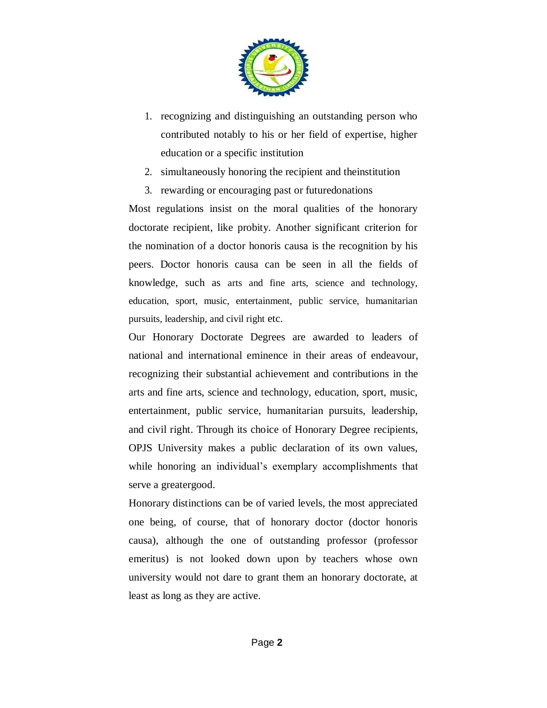

- 1. recognizing and distinguishing an outstanding person who contributed notably to his or her field of expertise, higher education or a specific institution
- 2. simultaneously honoring the recipient and theinstitution
- 3. rewarding or encouraging past or futuredonations

Most regulations insist on the moral qualities of the honorary doctorate recipient, like probity. Another significant criterion for the nomination of a doctor honoris causa is the recognition by his peers. Doctor honoris causa can be seen in all the fields of knowledge, such as arts and fine arts, science and technology, education, sport, music, entertainment, public service, humanitarian pursuits, leadership, and civil right etc.

Our Honorary Doctorate Degrees are awarded to leaders of national and international eminence in their areas of endeavour, recognizing their substantial achievement and contributions in the arts and fine arts, science and technology, education, sport, music, entertainment, public service, humanitarian pursuits, leadership, and civil right. Through its choice of Honorary Degree recipients, OPJS University makes a public declaration of its own values, while honoring an individual's exemplary accomplishments that serve a greatergood.

Honorary distinctions can be of varied levels, the most appreciated one being, of course, that of honorary doctor (doctor honoris causa), although the one of outstanding professor (professor emeritus) is not looked down upon by teachers whose own university would not dare to grant them an honorary doctorate, at least as long as they are active.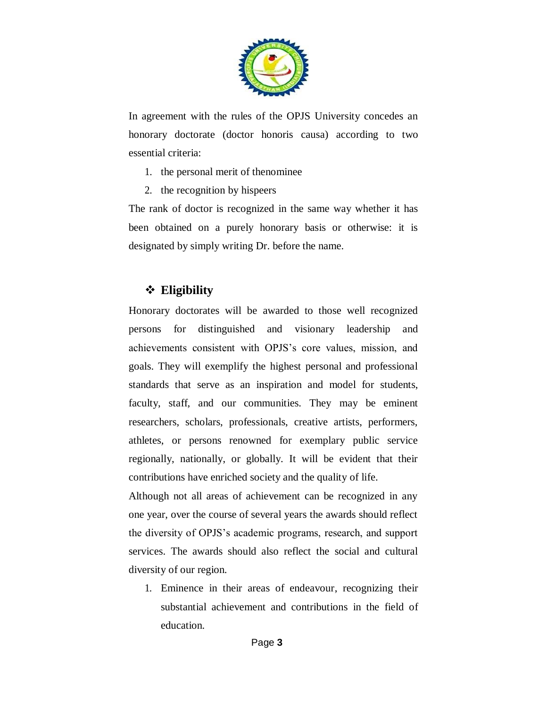

In agreement with the rules of the OPJS University concedes an honorary doctorate (doctor honoris causa) according to two essential criteria:

- 1. the personal merit of thenominee
- 2. the recognition by hispeers

The rank of doctor is recognized in the same way whether it has been obtained on a purely honorary basis or otherwise: it is designated by simply writing Dr. before the name.

### **Eligibility**

Honorary doctorates will be awarded to those well recognized persons for distinguished and visionary leadership and achievements consistent with OPJS's core values, mission, and goals. They will exemplify the highest personal and professional standards that serve as an inspiration and model for students, faculty, staff, and our communities. They may be eminent researchers, scholars, professionals, creative artists, performers, athletes, or persons renowned for exemplary public service regionally, nationally, or globally. It will be evident that their contributions have enriched society and the quality of life.

Although not all areas of achievement can be recognized in any one year, over the course of several years the awards should reflect the diversity of OPJS's academic programs, research, and support services. The awards should also reflect the social and cultural diversity of our region.

1. Eminence in their areas of endeavour, recognizing their substantial achievement and contributions in the field of education.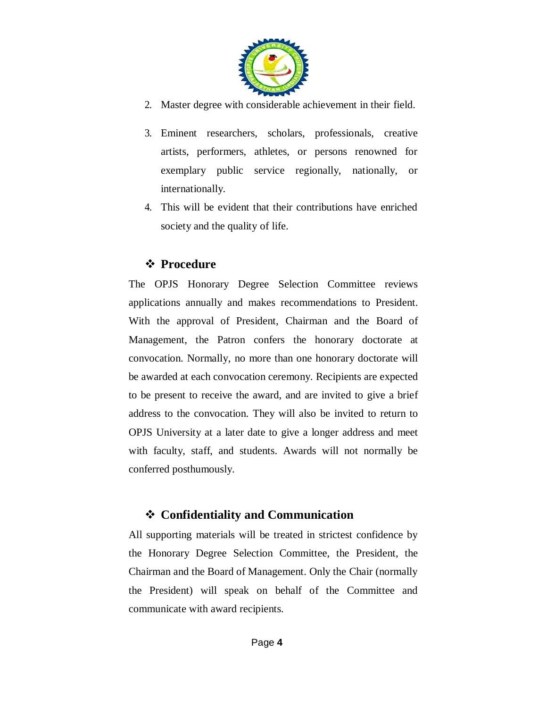

- 2. Master degree with considerable achievement in their field.
- 3. Eminent researchers, scholars, professionals, creative artists, performers, athletes, or persons renowned for exemplary public service regionally, nationally, or internationally.
- 4. This will be evident that their contributions have enriched society and the quality of life.

### *❖* Procedure

The OPJS Honorary Degree Selection Committee reviews applications annually and makes recommendations to President. With the approval of President, Chairman and the Board of Management, the Patron confers the honorary doctorate at convocation. Normally, no more than one honorary doctorate will be awarded at each convocation ceremony. Recipients are expected to be present to receive the award, and are invited to give a brief address to the convocation. They will also be invited to return to OPJS University at a later date to give a longer address and meet with faculty, staff, and students. Awards will not normally be conferred posthumously.

## **Confidentiality and Communication**

All supporting materials will be treated in strictest confidence by the Honorary Degree Selection Committee, the President, the Chairman and the Board of Management. Only the Chair (normally the President) will speak on behalf of the Committee and communicate with award recipients.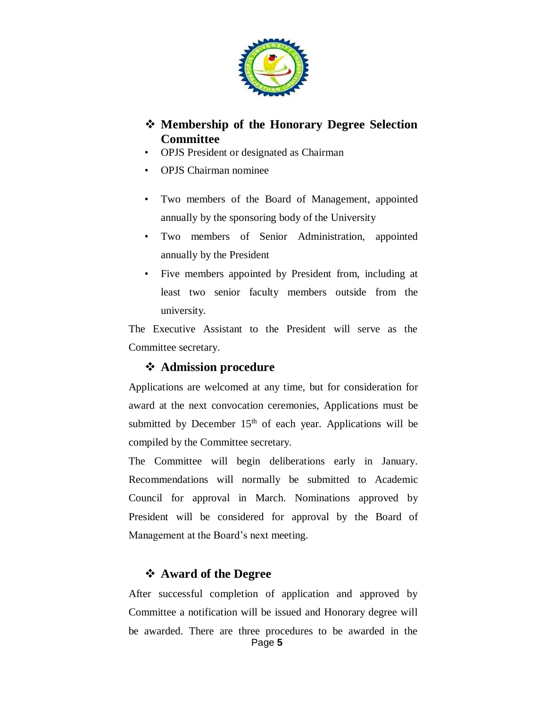

### **Membership of the Honorary Degree Selection Committee**

- OPJS President or designated as Chairman
- OPJS Chairman nominee
- Two members of the Board of Management, appointed annually by the sponsoring body of the University
- Two members of Senior Administration, appointed annually by the President
- Five members appointed by President from, including at least two senior faculty members outside from the university.

The Executive Assistant to the President will serve as the Committee secretary.

#### **Admission procedure**

Applications are welcomed at any time, but for consideration for award at the next convocation ceremonies, Applications must be submitted by December  $15<sup>th</sup>$  of each year. Applications will be compiled by the Committee secretary.

The Committee will begin deliberations early in January. Recommendations will normally be submitted to Academic Council for approval in March. Nominations approved by President will be considered for approval by the Board of Management at the Board's next meeting.

#### **Award of the Degree**

Page **5** After successful completion of application and approved by Committee a notification will be issued and Honorary degree will be awarded. There are three procedures to be awarded in the